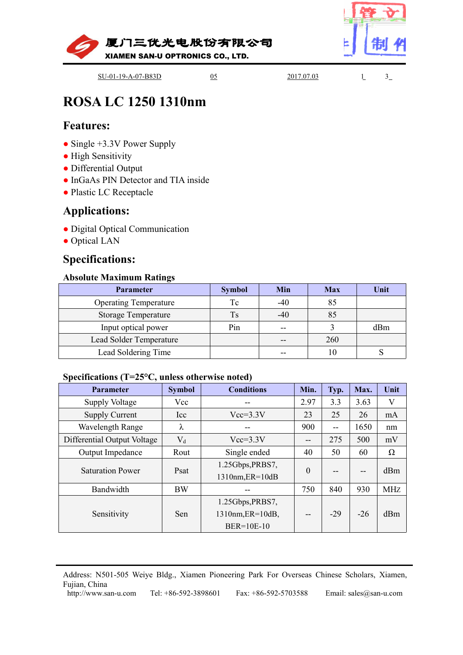



# **ROSA LC 1250 1310nm**<br> **Features:**<br>
• Single +3.3V Power Supply<br>
• High Sensitivity<br>
• Differential Output<br>
• InGaAs PIN Detector and TIA inside<br>
• Plastic LC Receptacle<br> **Applications:**<br>
• Digital Optical Communication<br>
•

# **Features:**

- 
- 
- 
- **RUSA LC 1250 13101111**<br> **Features:**<br>
 Single +3.3V Power Supply<br>
 High Sensitivity<br>
 Differential Output<br>
 InGaAs PIN Detector and TIA inside<br>
 Plastic LC Receptacle<br> **Applications:**<br>
 Digital Optical Communication<br>
- 

# **Applications:**

- 
- 

# **Specifications:**

| • Single $+3.3V$ Power Supply                              |                            |                   |                          |      |            |      |      |
|------------------------------------------------------------|----------------------------|-------------------|--------------------------|------|------------|------|------|
| • High Sensitivity<br>• Differential Output                |                            |                   |                          |      |            |      |      |
| • InGaAs PIN Detector and TIA inside                       |                            |                   |                          |      |            |      |      |
| • Plastic LC Receptacle                                    |                            |                   |                          |      |            |      |      |
|                                                            |                            |                   |                          |      |            |      |      |
| <b>Applications:</b>                                       |                            |                   |                          |      |            |      |      |
| • Digital Optical Communication                            |                            |                   |                          |      |            |      |      |
| • Optical LAN                                              |                            |                   |                          |      |            |      |      |
| <b>Specifications:</b>                                     |                            |                   |                          |      |            |      |      |
|                                                            |                            |                   |                          |      |            |      |      |
| <b>Absolute Maximum Ratings</b>                            |                            |                   |                          |      |            |      |      |
| Parameter                                                  |                            | <b>Symbol</b>     | Min                      |      | <b>Max</b> |      | Unit |
| <b>Operating Temperature</b>                               |                            | Tc                | $-40$                    |      | 85         |      |      |
|                                                            | <b>Storage Temperature</b> |                   | $-40$                    |      | 85         |      |      |
|                                                            | Input optical power        |                   | $\overline{\phantom{m}}$ |      | 3          |      | dBm  |
| Lead Solder Temperature                                    |                            |                   | $\overline{\phantom{a}}$ |      | 260        |      |      |
| Lead Soldering Time                                        |                            |                   | $\overline{\phantom{a}}$ |      | 10         |      | S    |
|                                                            |                            |                   |                          |      |            |      |      |
| Specifications (T=25 $\rm ^{o}C$ , unless otherwise noted) |                            |                   |                          |      |            |      |      |
| Parameter                                                  | <b>Symbol</b>              | <b>Conditions</b> |                          | Min. | Typ.       | Max. | Unit |
| <b>Supply Voltage</b>                                      | Vcc                        | $-$               |                          | 2.97 | 3.3        | 3.63 | V    |
| <b>Supply Current</b>                                      | Icc                        | $Vcc=3.3V$        |                          | 23   | 25         | 26   | mA   |
| Wavelength Range                                           | λ                          | --                |                          | 900  | $-$        | 1650 | nm   |
| Differential Output Voltage                                | $\rm V_d$                  | $Vcc=3.3V$        |                          | --   | 275        | 500  | mV   |

| Parameter                                                                                                                             |                      | <b>Symbol</b>                                             | Min                    |                          | <b>Max</b>               |                        | Unit       |  |
|---------------------------------------------------------------------------------------------------------------------------------------|----------------------|-----------------------------------------------------------|------------------------|--------------------------|--------------------------|------------------------|------------|--|
| <b>Operating Temperature</b>                                                                                                          |                      | Tc                                                        | $-40$                  |                          | 85                       |                        |            |  |
| <b>Storage Temperature</b>                                                                                                            |                      | <b>Ts</b>                                                 | $-40$                  |                          | 85                       |                        |            |  |
| Input optical power                                                                                                                   |                      | Pin                                                       | ÷÷                     | $\overline{3}$           |                          |                        | dBm        |  |
| Lead Solder Temperature                                                                                                               |                      |                                                           | $-$                    |                          | 260                      |                        |            |  |
|                                                                                                                                       | Lead Soldering Time  |                                                           | --                     |                          | 10                       |                        | S          |  |
| Specifications ( $T=25\textdegree C$ , unless otherwise noted)                                                                        |                      |                                                           |                        |                          |                          |                        |            |  |
| Parameter                                                                                                                             | <b>Symbol</b>        | <b>Conditions</b>                                         |                        | Min.                     | Typ.                     | Max.                   | Unit       |  |
| <b>Supply Voltage</b>                                                                                                                 | Vcc                  |                                                           |                        | 2.97                     | 3.3                      | 3.63                   | V          |  |
| <b>Supply Current</b>                                                                                                                 | Icc                  | $Vcc=3.3V$                                                |                        | 23                       | 25                       | 26                     | mA         |  |
| <b>Wavelength Range</b>                                                                                                               | $\lambda$            | --                                                        |                        | 900                      | $\overline{\phantom{a}}$ | 1650                   | nm         |  |
| Differential Output Voltage                                                                                                           | $V_d$                | $Vcc=3.3V$                                                |                        | --                       | 275                      | 500                    | mV         |  |
| Output Impedance                                                                                                                      | Rout                 | Single ended                                              |                        | 40                       | 50                       | 60                     | $\Omega$   |  |
| <b>Saturation Power</b>                                                                                                               | Psat                 | 1.25Gbps, PRBS7,<br>1310nm, ER=10dB<br>$\overline{a}$     |                        | $\boldsymbol{0}$         | --                       | --                     | dBm        |  |
| Bandwidth                                                                                                                             | <b>BW</b>            |                                                           |                        | 750                      | 840                      | 930                    | <b>MHZ</b> |  |
| Sensitivity                                                                                                                           | Sen                  | 1.25Gbps, PRBS7,<br>1310nm, ER=10dB,<br><b>BER=10E-10</b> |                        | $\overline{\phantom{a}}$ | $-29$                    | $-26$                  | dBm        |  |
| Address: N501-505 Weiye Bldg., Xiamen Pioneering Park For Overseas Chinese Scholars, Xiamen,<br>Fujian, China<br>http://www.san-u.com | Tel: +86-592-3898601 |                                                           | Fax: $+86-592-5703588$ |                          |                          | Email: sales@san-u.com |            |  |
|                                                                                                                                       |                      |                                                           |                        |                          |                          |                        |            |  |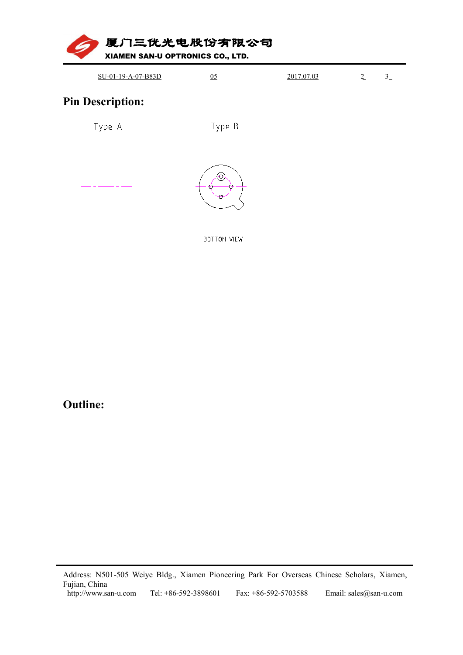

| SU-01-19-A-07-B83D | 2017.07.03 | - |  |
|--------------------|------------|---|--|
|                    |            |   |  |





BOTTOM VIEW

# **Outline:**

Address: N501-505 Weiye Bldg., Xiamen Pioneering Park For Overseas Chinese Scholars, Xiamen, Fujian, China<br>Fujian, China<br>http://www.san-u.com Tel: +86-592-3898601 Fax: +86-592-5703588 Email: sales@san-u.com Address: N501-505 Weiye Bldg., Xiamen P<br>Fujian, China<br>http://www.san-u.com Tel: +86-592-38986 ddress: N501-505 Weiye Bldg., Xiamen Pioneering Park For Overseas Chinese Scholars, Xiamen, ujian, China<br>ujian, China<br>http://www.san-u.com Tel: +86-592-3898601 Fax: +86-592-5703588 Email: sales@san-u.com